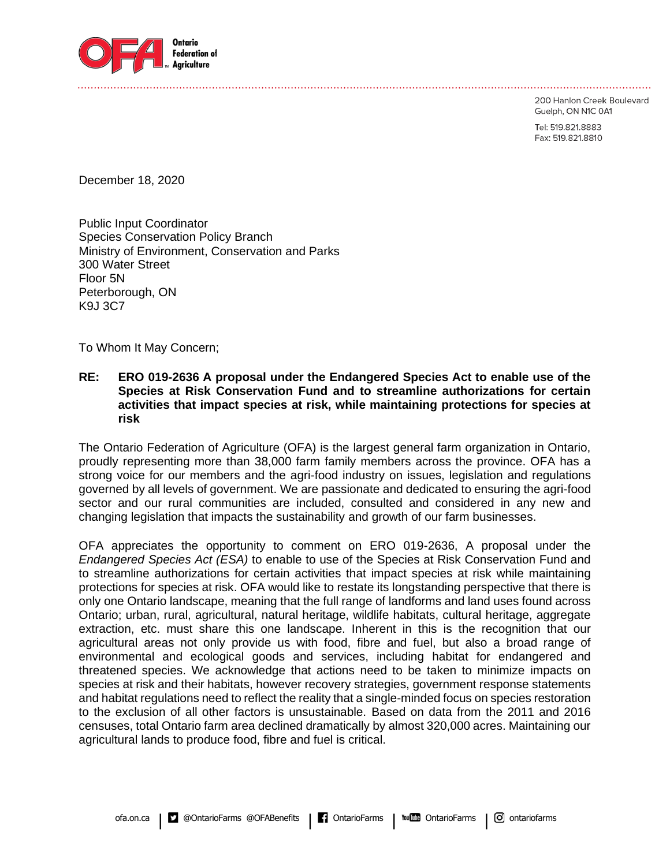

200 Hanlon Creek Boulevard

Guelph, ON N1C 0A1

Tel: 519.821.8883 Fax: 519.821.8810

December 18, 2020

Public Input Coordinator Species Conservation Policy Branch Ministry of Environment, Conservation and Parks 300 Water Street Floor 5N Peterborough, ON K9J 3C7

To Whom It May Concern;

#### **RE: ERO 019-2636 A proposal under the Endangered Species Act to enable use of the Species at Risk Conservation Fund and to streamline authorizations for certain activities that impact species at risk, while maintaining protections for species at risk**

The Ontario Federation of Agriculture (OFA) is the largest general farm organization in Ontario, proudly representing more than 38,000 farm family members across the province. OFA has a strong voice for our members and the agri-food industry on issues, legislation and regulations governed by all levels of government. We are passionate and dedicated to ensuring the agri-food sector and our rural communities are included, consulted and considered in any new and changing legislation that impacts the sustainability and growth of our farm businesses.

OFA appreciates the opportunity to comment on ERO 019-2636, A proposal under the *Endangered Species Act (ESA)* to enable to use of the Species at Risk Conservation Fund and to streamline authorizations for certain activities that impact species at risk while maintaining protections for species at risk. OFA would like to restate its longstanding perspective that there is only one Ontario landscape, meaning that the full range of landforms and land uses found across Ontario; urban, rural, agricultural, natural heritage, wildlife habitats, cultural heritage, aggregate extraction, etc. must share this one landscape. Inherent in this is the recognition that our agricultural areas not only provide us with food, fibre and fuel, but also a broad range of environmental and ecological goods and services, including habitat for endangered and threatened species. We acknowledge that actions need to be taken to minimize impacts on species at risk and their habitats, however recovery strategies, government response statements and habitat regulations need to reflect the reality that a single-minded focus on species restoration to the exclusion of all other factors is unsustainable. Based on data from the 2011 and 2016 censuses, total Ontario farm area declined dramatically by almost 320,000 acres. Maintaining our agricultural lands to produce food, fibre and fuel is critical.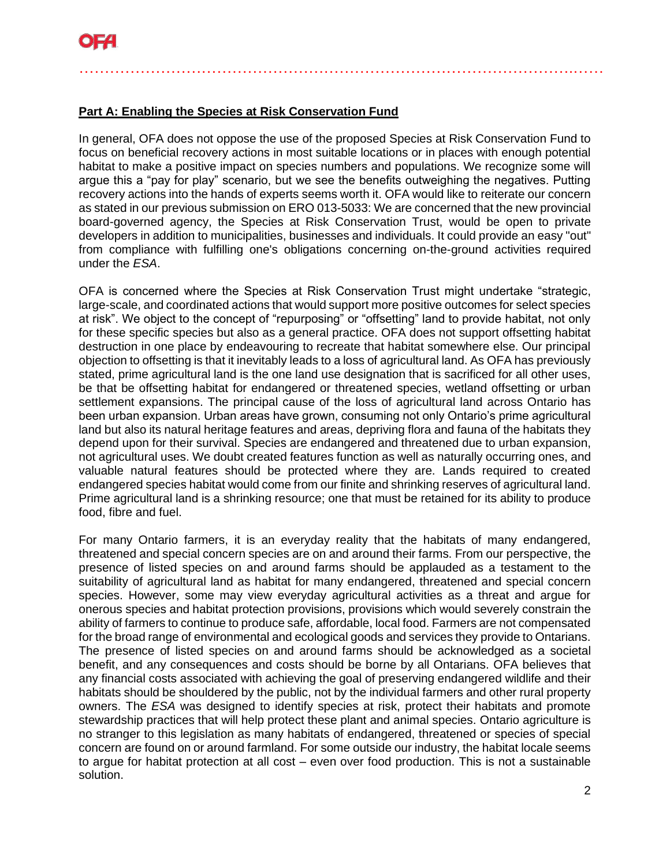# **Part A: Enabling the Species at Risk Conservation Fund**

In general, OFA does not oppose the use of the proposed Species at Risk Conservation Fund to focus on beneficial recovery actions in most suitable locations or in places with enough potential habitat to make a positive impact on species numbers and populations. We recognize some will argue this a "pay for play" scenario, but we see the benefits outweighing the negatives. Putting recovery actions into the hands of experts seems worth it. OFA would like to reiterate our concern as stated in our previous submission on ERO 013-5033: We are concerned that the new provincial board-governed agency, the Species at Risk Conservation Trust, would be open to private developers in addition to municipalities, businesses and individuals. It could provide an easy "out" from compliance with fulfilling one's obligations concerning on-the-ground activities required under the *ESA*.

…………………………………………………………………………………….……

OFA is concerned where the Species at Risk Conservation Trust might undertake "strategic, large-scale, and coordinated actions that would support more positive outcomes for select species at risk". We object to the concept of "repurposing" or "offsetting" land to provide habitat, not only for these specific species but also as a general practice. OFA does not support offsetting habitat destruction in one place by endeavouring to recreate that habitat somewhere else. Our principal objection to offsetting is that it inevitably leads to a loss of agricultural land. As OFA has previously stated, prime agricultural land is the one land use designation that is sacrificed for all other uses, be that be offsetting habitat for endangered or threatened species, wetland offsetting or urban settlement expansions. The principal cause of the loss of agricultural land across Ontario has been urban expansion. Urban areas have grown, consuming not only Ontario's prime agricultural land but also its natural heritage features and areas, depriving flora and fauna of the habitats they depend upon for their survival. Species are endangered and threatened due to urban expansion, not agricultural uses. We doubt created features function as well as naturally occurring ones, and valuable natural features should be protected where they are. Lands required to created endangered species habitat would come from our finite and shrinking reserves of agricultural land. Prime agricultural land is a shrinking resource; one that must be retained for its ability to produce food, fibre and fuel.

For many Ontario farmers, it is an everyday reality that the habitats of many endangered, threatened and special concern species are on and around their farms. From our perspective, the presence of listed species on and around farms should be applauded as a testament to the suitability of agricultural land as habitat for many endangered, threatened and special concern species. However, some may view everyday agricultural activities as a threat and argue for onerous species and habitat protection provisions, provisions which would severely constrain the ability of farmers to continue to produce safe, affordable, local food. Farmers are not compensated for the broad range of environmental and ecological goods and services they provide to Ontarians. The presence of listed species on and around farms should be acknowledged as a societal benefit, and any consequences and costs should be borne by all Ontarians. OFA believes that any financial costs associated with achieving the goal of preserving endangered wildlife and their habitats should be shouldered by the public, not by the individual farmers and other rural property owners. The *ESA* was designed to identify species at risk, protect their habitats and promote stewardship practices that will help protect these plant and animal species. Ontario agriculture is no stranger to this legislation as many habitats of endangered, threatened or species of special concern are found on or around farmland. For some outside our industry, the habitat locale seems to argue for habitat protection at all cost – even over food production. This is not a sustainable solution.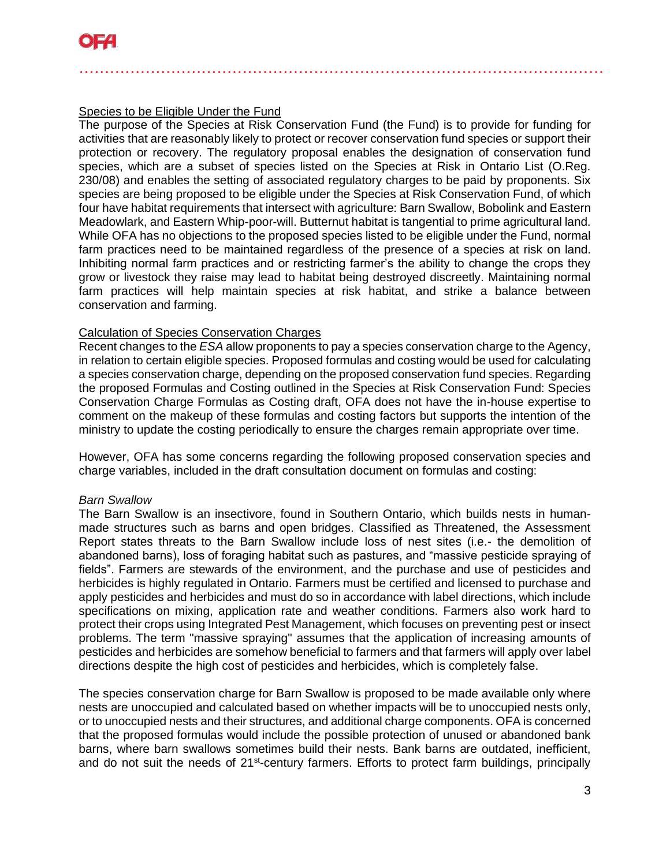# Species to be Eligible Under the Fund

The purpose of the Species at Risk Conservation Fund (the Fund) is to provide for funding for activities that are reasonably likely to protect or recover conservation fund species or support their protection or recovery. The regulatory proposal enables the designation of conservation fund species, which are a subset of species listed on the Species at Risk in Ontario List (O.Reg. 230/08) and enables the setting of associated regulatory charges to be paid by proponents. Six species are being proposed to be eligible under the Species at Risk Conservation Fund, of which four have habitat requirements that intersect with agriculture: Barn Swallow, Bobolink and Eastern Meadowlark, and Eastern Whip-poor-will. Butternut habitat is tangential to prime agricultural land. While OFA has no objections to the proposed species listed to be eligible under the Fund, normal farm practices need to be maintained regardless of the presence of a species at risk on land. Inhibiting normal farm practices and or restricting farmer's the ability to change the crops they grow or livestock they raise may lead to habitat being destroyed discreetly. Maintaining normal farm practices will help maintain species at risk habitat, and strike a balance between conservation and farming.

…………………………………………………………………………………….……

## Calculation of Species Conservation Charges

Recent changes to the *ESA* allow proponents to pay a species conservation charge to the Agency, in relation to certain eligible species. Proposed formulas and costing would be used for calculating a species conservation charge, depending on the proposed conservation fund species. Regarding the proposed Formulas and Costing outlined in the Species at Risk Conservation Fund: Species Conservation Charge Formulas as Costing draft, OFA does not have the in-house expertise to comment on the makeup of these formulas and costing factors but supports the intention of the ministry to update the costing periodically to ensure the charges remain appropriate over time.

However, OFA has some concerns regarding the following proposed conservation species and charge variables, included in the draft consultation document on formulas and costing:

#### *Barn Swallow*

The Barn Swallow is an insectivore, found in Southern Ontario, which builds nests in humanmade structures such as barns and open bridges. Classified as Threatened, the Assessment Report states threats to the Barn Swallow include loss of nest sites (i.e.- the demolition of abandoned barns), loss of foraging habitat such as pastures, and "massive pesticide spraying of fields". Farmers are stewards of the environment, and the purchase and use of pesticides and herbicides is highly regulated in Ontario. Farmers must be certified and licensed to purchase and apply pesticides and herbicides and must do so in accordance with label directions, which include specifications on mixing, application rate and weather conditions. Farmers also work hard to protect their crops using Integrated Pest Management, which focuses on preventing pest or insect problems. The term "massive spraying" assumes that the application of increasing amounts of pesticides and herbicides are somehow beneficial to farmers and that farmers will apply over label directions despite the high cost of pesticides and herbicides, which is completely false.

The species conservation charge for Barn Swallow is proposed to be made available only where nests are unoccupied and calculated based on whether impacts will be to unoccupied nests only, or to unoccupied nests and their structures, and additional charge components. OFA is concerned that the proposed formulas would include the possible protection of unused or abandoned bank barns, where barn swallows sometimes build their nests. Bank barns are outdated, inefficient, and do not suit the needs of 21<sup>st</sup>-century farmers. Efforts to protect farm buildings, principally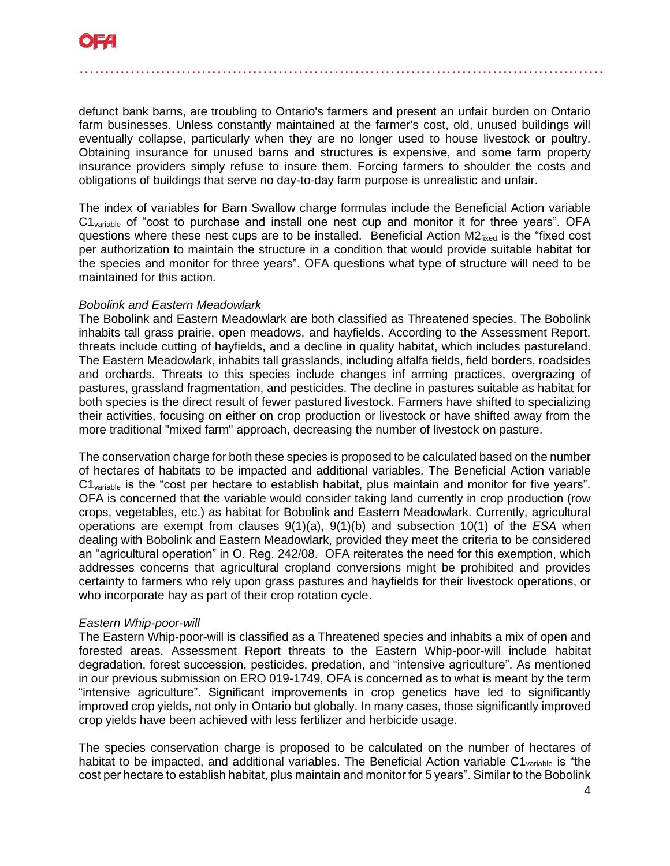

defunct bank barns, are troubling to Ontario's farmers and present an unfair burden on Ontario farm businesses. Unless constantly maintained at the farmer's cost, old, unused buildings will eventually collapse, particularly when they are no longer used to house livestock or poultry. Obtaining insurance for unused barns and structures is expensive, and some farm property insurance providers simply refuse to insure them. Forcing farmers to shoulder the costs and obligations of buildings that serve no day-to-day farm purpose is unrealistic and unfair.

…………………………………………………………………………………….……

The index of variables for Barn Swallow charge formulas include the Beneficial Action variable  $C1_{variable}$  of "cost to purchase and install one nest cup and monitor it for three years". OFA questions where these nest cups are to be installed. Beneficial Action  $M2_{fixed}$  is the "fixed cost per authorization to maintain the structure in a condition that would provide suitable habitat for the species and monitor for three years". OFA questions what type of structure will need to be maintained for this action.

#### *Bobolink and Eastern Meadowlark*

The Bobolink and Eastern Meadowlark are both classified as Threatened species. The Bobolink inhabits tall grass prairie, open meadows, and hayfields. According to the Assessment Report, threats include cutting of hayfields, and a decline in quality habitat, which includes pastureland. The Eastern Meadowlark, inhabits tall grasslands, including alfalfa fields, field borders, roadsides and orchards. Threats to this species include changes inf arming practices, overgrazing of pastures, grassland fragmentation, and pesticides. The decline in pastures suitable as habitat for both species is the direct result of fewer pastured livestock. Farmers have shifted to specializing their activities, focusing on either on crop production or livestock or have shifted away from the more traditional "mixed farm" approach, decreasing the number of livestock on pasture.

The conservation charge for both these species is proposed to be calculated based on the number of hectares of habitats to be impacted and additional variables. The Beneficial Action variable  $C1_{variable}$  is the "cost per hectare to establish habitat, plus maintain and monitor for five years". OFA is concerned that the variable would consider taking land currently in crop production (row crops, vegetables, etc.) as habitat for Bobolink and Eastern Meadowlark. Currently, agricultural operations are exempt from clauses 9(1)(a), 9(1)(b) and subsection 10(1) of the *ESA* when dealing with Bobolink and Eastern Meadowlark, provided they meet the criteria to be considered an "agricultural operation" in O. Reg. 242/08. OFA reiterates the need for this exemption, which addresses concerns that agricultural cropland conversions might be prohibited and provides certainty to farmers who rely upon grass pastures and hayfields for their livestock operations, or who incorporate hay as part of their crop rotation cycle.

#### *Eastern Whip-poor-will*

The Eastern Whip-poor-will is classified as a Threatened species and inhabits a mix of open and forested areas. Assessment Report threats to the Eastern Whip-poor-will include habitat degradation, forest succession, pesticides, predation, and "intensive agriculture". As mentioned in our previous submission on ERO 019-1749, OFA is concerned as to what is meant by the term "intensive agriculture". Significant improvements in crop genetics have led to significantly improved crop yields, not only in Ontario but globally. In many cases, those significantly improved crop yields have been achieved with less fertilizer and herbicide usage.

The species conservation charge is proposed to be calculated on the number of hectares of habitat to be impacted, and additional variables. The Beneficial Action variable  $C1_{variable}$  is "the cost per hectare to establish habitat, plus maintain and monitor for 5 years". Similar to the Bobolink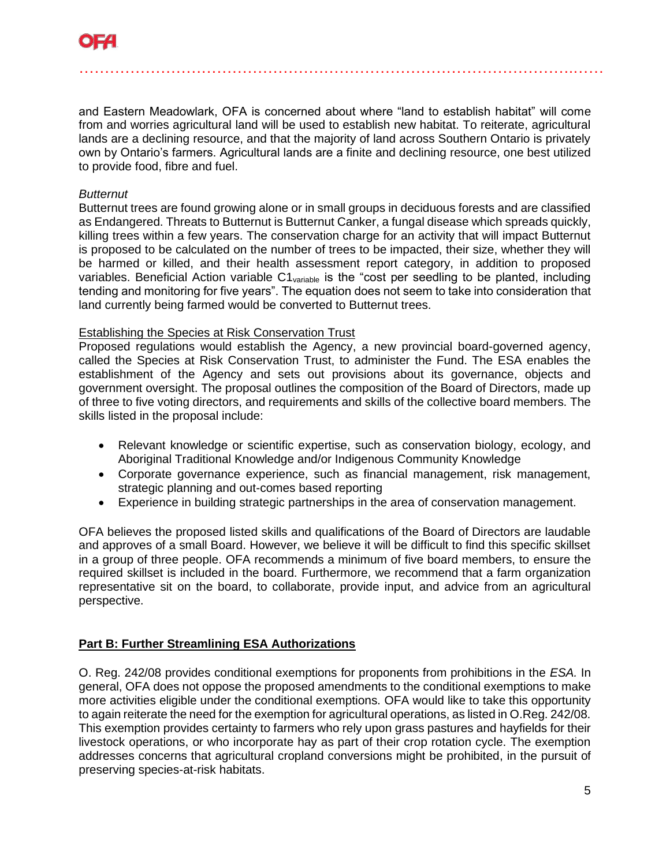

and Eastern Meadowlark, OFA is concerned about where "land to establish habitat" will come from and worries agricultural land will be used to establish new habitat. To reiterate, agricultural lands are a declining resource, and that the majority of land across Southern Ontario is privately own by Ontario's farmers. Agricultural lands are a finite and declining resource, one best utilized to provide food, fibre and fuel.

…………………………………………………………………………………….……

#### *Butternut*

Butternut trees are found growing alone or in small groups in deciduous forests and are classified as Endangered. Threats to Butternut is Butternut Canker, a fungal disease which spreads quickly, killing trees within a few years. The conservation charge for an activity that will impact Butternut is proposed to be calculated on the number of trees to be impacted, their size, whether they will be harmed or killed, and their health assessment report category, in addition to proposed variables. Beneficial Action variable C1<sub>variable</sub> is the "cost per seedling to be planted, including tending and monitoring for five years". The equation does not seem to take into consideration that land currently being farmed would be converted to Butternut trees.

#### Establishing the Species at Risk Conservation Trust

Proposed regulations would establish the Agency, a new provincial board-governed agency, called the Species at Risk Conservation Trust, to administer the Fund. The ESA enables the establishment of the Agency and sets out provisions about its governance, objects and government oversight. The proposal outlines the composition of the Board of Directors, made up of three to five voting directors, and requirements and skills of the collective board members. The skills listed in the proposal include:

- Relevant knowledge or scientific expertise, such as conservation biology, ecology, and Aboriginal Traditional Knowledge and/or Indigenous Community Knowledge
- Corporate governance experience, such as financial management, risk management, strategic planning and out-comes based reporting
- Experience in building strategic partnerships in the area of conservation management.

OFA believes the proposed listed skills and qualifications of the Board of Directors are laudable and approves of a small Board. However, we believe it will be difficult to find this specific skillset in a group of three people. OFA recommends a minimum of five board members, to ensure the required skillset is included in the board. Furthermore, we recommend that a farm organization representative sit on the board, to collaborate, provide input, and advice from an agricultural perspective.

## **Part B: Further Streamlining ESA Authorizations**

O. Reg. 242/08 provides conditional exemptions for proponents from prohibitions in the *ESA.* In general, OFA does not oppose the proposed amendments to the conditional exemptions to make more activities eligible under the conditional exemptions. OFA would like to take this opportunity to again reiterate the need for the exemption for agricultural operations, as listed in O.Reg. 242/08. This exemption provides certainty to farmers who rely upon grass pastures and hayfields for their livestock operations, or who incorporate hay as part of their crop rotation cycle. The exemption addresses concerns that agricultural cropland conversions might be prohibited, in the pursuit of preserving species-at-risk habitats.